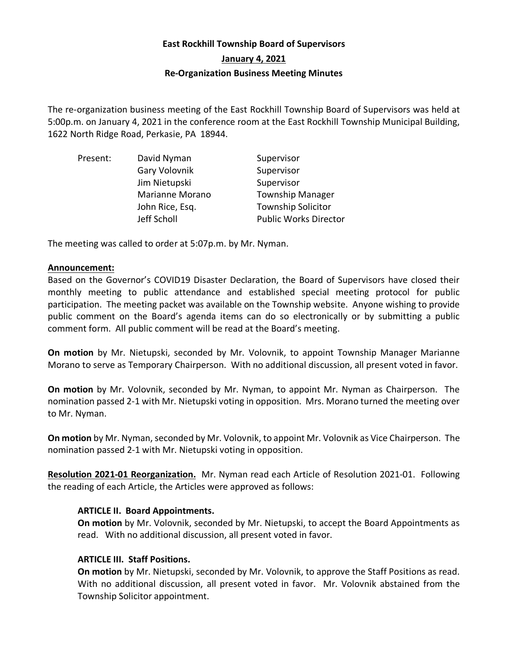# **East Rockhill Township Board of Supervisors January 4, 2021 Re-Organization Business Meeting Minutes**

The re-organization business meeting of the East Rockhill Township Board of Supervisors was held at 5:00p.m. on January 4, 2021 in the conference room at the East Rockhill Township Municipal Building, 1622 North Ridge Road, Perkasie, PA 18944.

| Present: | David Nyman     | Supervisor                   |
|----------|-----------------|------------------------------|
|          | Gary Volovnik   | Supervisor                   |
|          | Jim Nietupski   | Supervisor                   |
|          | Marianne Morano | <b>Township Manager</b>      |
|          | John Rice, Esq. | <b>Township Solicitor</b>    |
|          | Jeff Scholl     | <b>Public Works Director</b> |

The meeting was called to order at 5:07p.m. by Mr. Nyman.

#### **Announcement:**

Based on the Governor's COVID19 Disaster Declaration, the Board of Supervisors have closed their monthly meeting to public attendance and established special meeting protocol for public participation. The meeting packet was available on the Township website. Anyone wishing to provide public comment on the Board's agenda items can do so electronically or by submitting a public comment form. All public comment will be read at the Board's meeting.

**On motion** by Mr. Nietupski, seconded by Mr. Volovnik, to appoint Township Manager Marianne Morano to serve as Temporary Chairperson. With no additional discussion, all present voted in favor.

**On motion** by Mr. Volovnik, seconded by Mr. Nyman, to appoint Mr. Nyman as Chairperson. The nomination passed 2-1 with Mr. Nietupski voting in opposition. Mrs. Morano turned the meeting over to Mr. Nyman.

**On motion** by Mr. Nyman, seconded by Mr. Volovnik, to appoint Mr. Volovnik as Vice Chairperson. The nomination passed 2-1 with Mr. Nietupski voting in opposition.

**Resolution 2021-01 Reorganization.** Mr. Nyman read each Article of Resolution 2021-01. Following the reading of each Article, the Articles were approved as follows:

## **ARTICLE II. Board Appointments.**

**On motion** by Mr. Volovnik, seconded by Mr. Nietupski, to accept the Board Appointments as read. With no additional discussion, all present voted in favor.

## **ARTICLE III. Staff Positions.**

**On motion** by Mr. Nietupski, seconded by Mr. Volovnik, to approve the Staff Positions as read. With no additional discussion, all present voted in favor. Mr. Volovnik abstained from the Township Solicitor appointment.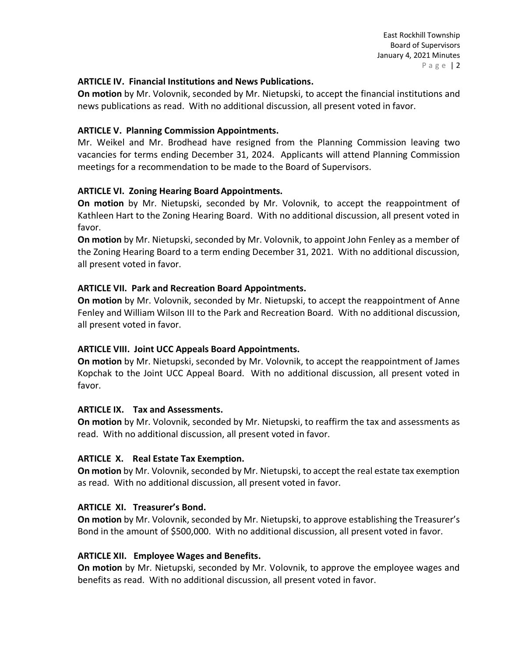## **ARTICLE IV. Financial Institutions and News Publications.**

**On motion** by Mr. Volovnik, seconded by Mr. Nietupski, to accept the financial institutions and news publications as read. With no additional discussion, all present voted in favor.

## **ARTICLE V. Planning Commission Appointments.**

Mr. Weikel and Mr. Brodhead have resigned from the Planning Commission leaving two vacancies for terms ending December 31, 2024. Applicants will attend Planning Commission meetings for a recommendation to be made to the Board of Supervisors.

## **ARTICLE VI. Zoning Hearing Board Appointments.**

**On motion** by Mr. Nietupski, seconded by Mr. Volovnik, to accept the reappointment of Kathleen Hart to the Zoning Hearing Board. With no additional discussion, all present voted in favor.

**On motion** by Mr. Nietupski, seconded by Mr. Volovnik, to appoint John Fenley as a member of the Zoning Hearing Board to a term ending December 31, 2021. With no additional discussion, all present voted in favor.

## **ARTICLE VII. Park and Recreation Board Appointments.**

**On motion** by Mr. Volovnik, seconded by Mr. Nietupski, to accept the reappointment of Anne Fenley and William Wilson III to the Park and Recreation Board. With no additional discussion, all present voted in favor.

## **ARTICLE VIII. Joint UCC Appeals Board Appointments.**

**On motion** by Mr. Nietupski, seconded by Mr. Volovnik, to accept the reappointment of James Kopchak to the Joint UCC Appeal Board. With no additional discussion, all present voted in favor.

## **ARTICLE IX. Tax and Assessments.**

**On motion** by Mr. Volovnik, seconded by Mr. Nietupski, to reaffirm the tax and assessments as read. With no additional discussion, all present voted in favor.

## **ARTICLE X. Real Estate Tax Exemption.**

**On motion** by Mr. Volovnik, seconded by Mr. Nietupski, to accept the real estate tax exemption as read. With no additional discussion, all present voted in favor.

## **ARTICLE XI. Treasurer's Bond.**

**On motion** by Mr. Volovnik, seconded by Mr. Nietupski, to approve establishing the Treasurer's Bond in the amount of \$500,000. With no additional discussion, all present voted in favor.

## **ARTICLE XII. Employee Wages and Benefits.**

**On motion** by Mr. Nietupski, seconded by Mr. Volovnik, to approve the employee wages and benefits as read. With no additional discussion, all present voted in favor.